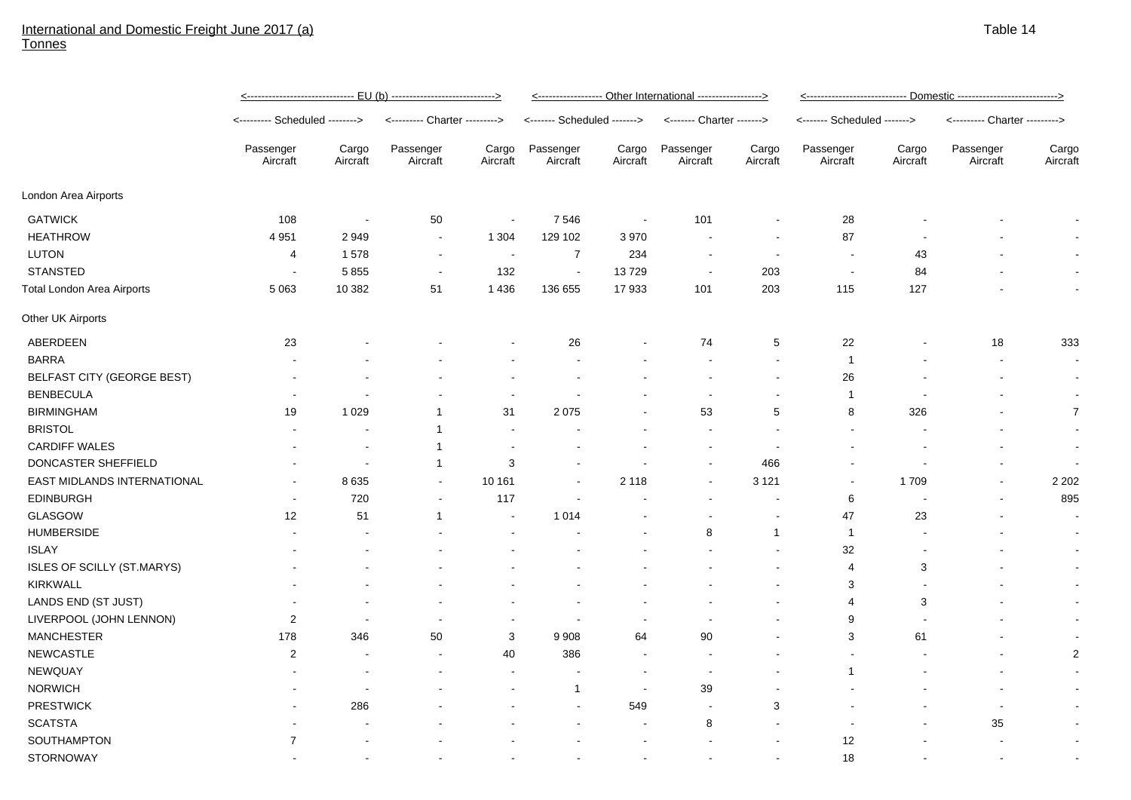## International and Domestic Freight June 2017 (a) **Tonnes**

|                                   | <u>&lt;----------------------------- EU (b) ---------------------------&gt;</u> |                          |                               |                          | <------------------ Other International -----------------> |                   |                           |                          | <u>&lt;---------------------------- Domestic ---------------------------&gt;</u> |                   |                               |                          |
|-----------------------------------|---------------------------------------------------------------------------------|--------------------------|-------------------------------|--------------------------|------------------------------------------------------------|-------------------|---------------------------|--------------------------|----------------------------------------------------------------------------------|-------------------|-------------------------------|--------------------------|
|                                   | <-------- Scheduled -------->                                                   |                          | <--------- Charter ---------> |                          | <------- Scheduled ------->                                |                   | <------- Charter -------> |                          | <------- Scheduled ------->                                                      |                   | <--------- Charter ---------> |                          |
|                                   | Passenger<br>Aircraft                                                           | Cargo<br>Aircraft        | Passenger<br>Aircraft         | Cargo<br>Aircraft        | Passenger<br>Aircraft                                      | Cargo<br>Aircraft | Passenger<br>Aircraft     | Cargo<br>Aircraft        | Passenger<br>Aircraft                                                            | Cargo<br>Aircraft | Passenger<br>Aircraft         | Cargo<br>Aircraft        |
| London Area Airports              |                                                                                 |                          |                               |                          |                                                            |                   |                           |                          |                                                                                  |                   |                               |                          |
| <b>GATWICK</b>                    | 108                                                                             | $\sim$                   | 50                            | $\sim$                   | 7546                                                       | $\sim$            | 101                       | $\blacksquare$           | 28                                                                               |                   |                               | $\overline{\phantom{a}}$ |
| <b>HEATHROW</b>                   | 4 9 5 1                                                                         | 2949                     | $\sim$                        | 1 3 0 4                  | 129 102                                                    | 3970              |                           | $\overline{\phantom{a}}$ | 87                                                                               |                   |                               | $\overline{\phantom{a}}$ |
| <b>LUTON</b>                      | 4                                                                               | 1578                     | $\sim$                        | $\overline{\phantom{a}}$ | $\overline{7}$                                             | 234               | ٠                         | $\overline{\phantom{a}}$ | $\overline{\phantom{a}}$                                                         | 43                |                               | $\sim$                   |
| <b>STANSTED</b>                   | $\overline{\phantom{a}}$                                                        | 5855                     | $\blacksquare$                | 132                      | $\sim$                                                     | 13729             | $\overline{\phantom{a}}$  | 203                      | $\blacksquare$                                                                   | 84                |                               | $\sim$                   |
| <b>Total London Area Airports</b> | 5 0 6 3                                                                         | 10 382                   | 51                            | 1 4 3 6                  | 136 655                                                    | 17933             | 101                       | 203                      | 115                                                                              | 127               |                               | $\sim$                   |
| Other UK Airports                 |                                                                                 |                          |                               |                          |                                                            |                   |                           |                          |                                                                                  |                   |                               |                          |
| ABERDEEN                          | 23                                                                              |                          |                               |                          | 26                                                         |                   | 74                        | 5                        | 22                                                                               |                   | 18                            | 333                      |
| <b>BARRA</b>                      |                                                                                 |                          |                               |                          |                                                            |                   |                           | $\blacksquare$           | $\mathbf{1}$                                                                     |                   |                               | $\sim$                   |
| BELFAST CITY (GEORGE BEST)        |                                                                                 |                          |                               |                          |                                                            |                   |                           | $\overline{\phantom{a}}$ | 26                                                                               |                   |                               | $\sim$                   |
| <b>BENBECULA</b>                  |                                                                                 |                          |                               | $\blacksquare$           |                                                            |                   | $\blacksquare$            | $\blacksquare$           | $\mathbf{1}$                                                                     |                   |                               | $\blacksquare$           |
| <b>BIRMINGHAM</b>                 | 19                                                                              | 1 0 2 9                  | $\mathbf 1$                   | 31                       | 2075                                                       |                   | 53                        | 5                        | 8                                                                                | 326               |                               | $\overline{7}$           |
| <b>BRISTOL</b>                    |                                                                                 |                          | $\mathbf{1}$                  | $\overline{\phantom{a}}$ |                                                            |                   |                           |                          |                                                                                  |                   |                               | $\sim$                   |
| <b>CARDIFF WALES</b>              |                                                                                 |                          | $\mathbf{1}$                  | $\overline{\phantom{a}}$ |                                                            |                   | $\blacksquare$            | $\overline{\phantom{a}}$ |                                                                                  |                   |                               | $\blacksquare$           |
| DONCASTER SHEFFIELD               |                                                                                 | $\blacksquare$           | $\mathbf{1}$                  | 3                        |                                                            |                   | $\blacksquare$            | 466                      |                                                                                  |                   |                               | $\sim$                   |
| EAST MIDLANDS INTERNATIONAL       |                                                                                 | 8635                     | $\blacksquare$                | 10 161                   | $\overline{\phantom{a}}$                                   | 2 1 1 8           | $\blacksquare$            | 3 1 2 1                  | $\blacksquare$                                                                   | 1709              | $\blacksquare$                | 2 2 0 2                  |
| <b>EDINBURGH</b>                  |                                                                                 | 720                      |                               | 117                      |                                                            |                   |                           |                          | 6                                                                                |                   |                               | 895                      |
| <b>GLASGOW</b>                    | 12                                                                              | 51                       | $\mathbf{1}$                  | $\blacksquare$           | 1 0 1 4                                                    |                   |                           |                          | 47                                                                               | 23                |                               | $\sim$                   |
| <b>HUMBERSIDE</b>                 |                                                                                 |                          |                               |                          |                                                            |                   | 8                         | $\mathbf{1}$             | $\mathbf{1}$                                                                     |                   |                               |                          |
| <b>ISLAY</b>                      |                                                                                 |                          |                               |                          |                                                            |                   |                           |                          | 32                                                                               |                   |                               | $\sim$                   |
| <b>ISLES OF SCILLY (ST.MARYS)</b> |                                                                                 |                          |                               |                          |                                                            |                   |                           |                          | 4                                                                                | 3                 |                               | $\sim$                   |
| KIRKWALL                          |                                                                                 |                          |                               |                          |                                                            |                   |                           |                          | 3                                                                                |                   |                               | $\sim$                   |
| LANDS END (ST JUST)               |                                                                                 |                          |                               |                          |                                                            |                   |                           |                          | 4                                                                                | 3                 |                               | $\sim$                   |
| LIVERPOOL (JOHN LENNON)           | $\overline{2}$                                                                  | $\overline{\phantom{a}}$ |                               |                          | $\overline{\phantom{a}}$                                   |                   |                           |                          | 9                                                                                |                   |                               | $\sim$                   |
| <b>MANCHESTER</b>                 | 178                                                                             | 346                      | 50                            | 3                        | 9 9 0 8                                                    | 64                | 90                        |                          | 3                                                                                | 61                |                               | $\sim$                   |
| NEWCASTLE                         | 2                                                                               |                          |                               | 40                       | 386                                                        |                   |                           |                          |                                                                                  |                   |                               | $\overline{2}$           |
| <b>NEWQUAY</b>                    |                                                                                 |                          |                               | $\overline{\phantom{a}}$ |                                                            |                   | $\overline{\phantom{a}}$  |                          | $\mathbf 1$                                                                      |                   |                               | $\sim$                   |
| <b>NORWICH</b>                    |                                                                                 |                          |                               |                          | $\mathbf{1}$                                               | <b>.</b>          | 39                        |                          |                                                                                  |                   |                               | $\sim$                   |
| <b>PRESTWICK</b>                  |                                                                                 | 286                      |                               |                          |                                                            | 549               | $\sim$                    | 3                        |                                                                                  |                   | $\blacksquare$                | $\sim$                   |
| <b>SCATSTA</b>                    |                                                                                 |                          |                               |                          |                                                            |                   | 8                         |                          |                                                                                  |                   | 35                            | $\sim$                   |
| SOUTHAMPTON                       | $\overline{7}$                                                                  |                          |                               |                          |                                                            |                   |                           |                          | 12                                                                               |                   |                               | $\sim$                   |
| <b>STORNOWAY</b>                  |                                                                                 |                          |                               |                          |                                                            |                   |                           |                          | 18                                                                               |                   |                               |                          |